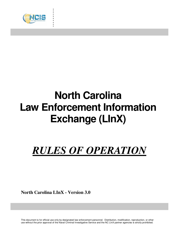

. . . . . . . . . .

# **North Carolina Law Enforcement Information Exchange (LInX)**

# *RULES OF OPERATION*

**North Carolina LInX - Version 3.0**

This document is for official use only by designated law enforcement personnel. Distribution, modification, reproduction, or other use without the prior approval of the Naval Criminal Investigative Service and the NC LInX partner agencies is strictly prohibited.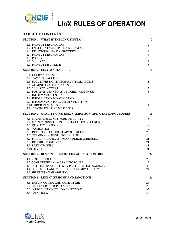

#### **TABLE OF CONTENTS**

. . . . . . .<br>.<br>. . :<br>:

| <b>SECTION 1: WHAT IS THE LINX SYSTEM?</b>                          | $\boldsymbol{2}$ |
|---------------------------------------------------------------------|------------------|
| 1.1 PROJECT DESCRIPTION                                             | $\overline{2}$   |
| 1.2 USE OF DATA AND PROBABLE CAUSE                                  | 3                |
| 1.3 RESPONSIBILITY FOR RECORDS                                      | $\overline{4}$   |
| 1.4 PROJECT DESCRIPTION                                             | 6                |
| 1.5 POLICY                                                          | 6                |
| 1.6 SECURITY                                                        | 7                |
| 1.7 PROJECT DISCIPLINE                                              | 8                |
| <b>SECTION 2: LINX ACCESS RULES</b>                                 | 10               |
| 2.1 QUERY ACCESS                                                    | 10               |
| 2.2 TACTICAL ACCESS                                                 | 10               |
| 2.3 FULL INVESTIGATIVE/ANALYTICAL ACCESS                            | 11               |
| 2.4 ADMINISTRATIVE ACCESS                                           | 12               |
| <b>2.5 SECURITY ACCESS</b>                                          | 12               |
| 2.6 POSITIVE AND NEGATIVE QUERY RESPONSES                           | 13               |
| 2.7 INFORMATION ENTRY                                               | 13               |
| 2.8 INFORMATION MODIFICATION                                        | 14               |
| 2.9 INFORMATION PURGES/CANCELLATION                                 | 14               |
| 2.10 ERROR MESSAGES                                                 | 14               |
| 2.11 ADMINISTRATIVE MESSAGES                                        | 14               |
| <b>SECTION 3: QUALITY CONTROL, VALIDATION, AND OTHER PROCEDURES</b> | <b>16</b>        |
| 3.1 MAINTAINING NETWORK INTEGRITY                                   | 16               |
| 3.2 MAINTAINING THE INTEGRITY OF LINX RECORDS                       | 18               |
| 3.3 QUALITY CONTROL                                                 | 19               |
| <b>3.4 VALIDATION</b>                                               | 19               |
| 3.5 RETENTION OF LINX SEARCH RESULTS                                | 20               |
| 3.6 TERMINAL AND/OR LINE FAILURE                                    | 20               |
| 3.7 FILE REORGANIZATION AND PURGE SCHEDULE                          | 21               |
| 3.8 RESTRICTED SERVICE                                              | 21               |
| <b>3.9 LINX NUMBERS</b>                                             | 21               |
| 3.10 FEATURES                                                       | 21               |
| <b>SECTION 4: RESPONSIBILITIES FOR AGENCY CONTROL</b>               | 22               |
| <b>4.1 RESPONSIBILITIES</b>                                         | 22               |
| 4.2 COMMITTEES AND WORKING GROUPS                                   | 23               |
| 4.3 DATA ENTRY/UPDATES BY PARTICIPATING AGENCIES                    | 24               |
| 4.4 EQUIPMENT AND TECHNOLOGY COMPATIBILITY                          | 24               |
| <b>4.5 SERVICES AVAILABILITY</b>                                    | 24               |
| <b>SECTION 5: LINX OVERSIGHT AND SANCTIONS</b>                      | 26               |
| 5.1 THE LINX OVERSIGHT COMMITTEE                                    | 26               |
| 5.2 LINX OVERSIGHT PROCEDURES                                       | 28               |
| 5.3 INTRODUCTION TO LINX SANCTIONS                                  | 32               |
| 5.4 SANCTIONS                                                       | 33               |

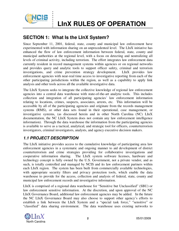

## **SECTION 1: What Is the LInX System?**

Since September 11, 2001, federal, state, county and municipal law enforcement have experimented with information sharing on an unprecedented level. The LInX initiative has enhanced the flow of law enforcement information between federal, state, county and municipal authorities at the regional level, with a focus on detecting and neutralizing all levels of criminal activity, including terrorism. The effort integrates law enforcement data currently resident in record management systems within agencies or on regional networks and provides query and analytic tools to support officer safety, criminal and terrorism investigations, and crime prevention strategy development. LInX provides law enforcement agencies with near-real time access to investigative reporting from each of the other participating jurisdictions within the region, as well as a capability to apply link analysis and other tools across all the available investigative data.

The LInX System seeks to integrate the collective knowledge of regional law enforcement agencies into a central data warehouse with state-of-the-art analytic tools. This includes collection and integration of all participating agencies' law enforcement information relating to locations, crimes, suspects, associates, arrests, etc. This information will be accessible by all of the participating agencies and originate from the records management systems (RMS), or other data sets found in their operational, case management, or investigative systems, (as discussed herein and in other North Carolina (NC) LInX documentation, the NC LInX System does not contain any law enforcement intelligence information). Through the data warehouse the information from the participating agencies is available to serve as a tactical, analytical, and strategic tool for officers, counterterrorism investigators, criminal investigators, analysts, and agency executive decision makers.

## *1.1 PROJECT DESCRIPTION*

The LInX initiative provides access to the cumulative knowledge of participating area law enforcement agencies in a systematic and ongoing manner to aid development of district counterterrorism and crime strategies providing for collaborative investigations and cooperative information sharing. The LInX system software licenses, hardware and technology concept is fully owned by the U.S. Government, not a private vendor, and as such, is totally controlled and managed by NCIS and its law enforcement partners within each LInX region. The system has been built from commercially available technologies, with appropriate security filters and privacy protection tools, which enable the data warehouse to provide for the access, collection and analysis of federal, state, county and municipal law enforcement records and investigative information.

LInX is comprised of a regional data warehouse for "Sensitive but Unclassified" (SBU) or law enforcement sensitive information. At the discretion, and upon approval of the NC LInX Governance Board, additional law enforcement agencies may be added. In the future the NC LInX Governance Board may also choose to support other agency's efforts to establish a link between the LInX System and a "special task force," "sensitive" or "classified" data sharing environment. The data warehouse uses existing networks to

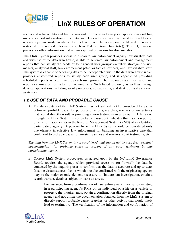

## **LInX RULES OF OPERATION**

access and retrieve data and has its own suite of query and analytical applications enabling users to exploit information in the database. Federal information received from all federal records systems made available for inclusion, will be appropriately filtered to remove restricted or classified information such as Federal Grand Jury (6(e)), Title III, financial privacy, or other information that requires special provisions for dissemination.

The LInX System provides access to disparate law enforcement agency investigative data and with use of the data warehouse, is able to generate law enforcement and management reports that can satisfy the needs of four general user groups: executive strategic decision makers, analytical staff, law enforcement patrol or tactical officers, and investigative staff. The system is capable of accessing data to be incorporated within the data warehouse which provides customized reports to satisfy each user group, and is capable of providing scheduled reports as determined by each user group. The disparate data information and reports can/may be formatted for viewing on a Web based browser, as well as through desktop applications including word processors, spreadsheets, and desktop databases such as Access.

## *1.2 USE OF DATA AND PROBABLE CAUSE*

A. The data content of the LInX System may not and will not be considered for use as definitive probable cause for purposes of arrests, searches, seizures or any activity that would directly result in providing sworn testimony in any court. A hit alone through the LInX System is not probable cause, but indicates that data, a report or other information exists in the Records Management System (RMS) of an identified participating agency. A positive hit in the LInX System should be considered only one element in effective law enforcement for building an investigative case that could lead to probable cause for arrests, searches and seizures, court testimony, etc.

*The data from the LInX System is not considered, and should not be used for, "original documentation" for probable cause in support of any court testimony by any participating agency.* 

B. Correct LInX System procedures, as agreed upon by the NC LInX Governance Board, requires the agency which provided access to (or "owns") the data be contacted by the inquiring user to confirm that the data is accurate and up-to-date. In some circumstances, the hit which must be confirmed with the originating agency may be the major or only element necessary to "initiate" an investigation, obtain a search warrant, detain a subject or make an arrest.

> For instance, from a confirmation of law enforcement information existing in a participating agency's RMS on an individual or a hit on a vehicle or property, the inquirer must obtain a confirmation directly from the original agency and not utilize the documentation obtained from the LInX System to directly support probable cause, searches, or other activity that would likely lead to testimony. The verification of the information and confirmation of

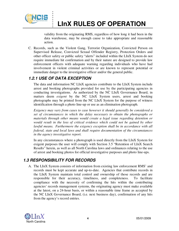

## **LInX RULES OF OPERATION**

validity from the originating RMS, regardless of how long it had been in the data warehouse, may be enough cause to take appropriate and reasonable action.

C. Records, such as the Violent Gang, Terrorist Organization, Convicted Person on Supervised Release, Convicted Sexual Offender Registry, Protection Orders and other officer safety or public safety "alerts" included within the LInX System do not require immediate hit confirmation and by their nature are designed to provide law enforcement officers with adequate warning regarding individuals who have had involvement in violent criminal activities or are known to represent potential or immediate danger to the investigative officer and/or the general public.

### *1.2.1 USE OF DATA EXCEPTION*

The data and information NC LInX agencies contribute to the LInX System include arrest and booking photographs provided for use by the participating agencies in conducting investigations. As authorized by the NC LInX Governance Board, in matters deem *exigent* by the NC LInX System users, arrest and booking photographs may be printed from the NC LInX System for the purpose of witness identification through a photo line-up or use as an elimination photograph.

*Exigency may vary from cases to case however it should generally be considered a set of circumstances in which the delay necessary to obtain the photographs or materials through other means would create a legal issue regarding detention or would result in the loss of critical evidence which could not be gained by other lawful means. Furthermore the exigency exception shall be in accordance with all federal, state and local laws and shall require documentation of the circumstances in the agency investigative report.* 

In any circumstances where a photograph is used directly from the LInX System for exigent purposes the user will comply with Section 3.5 "Retention of LInX Search Results" herein, as well as all North Carolina laws and ordinances relating to the use of arrest and booking photos for official investigative purposes and photo line-ups.

## *1.3 RESPONSIBILITY FOR RECORDS*

A. The LInX System consists of information from existing law enforcement RMS' and records must be kept accurate and up-to-date. Agencies that contribute records in the LInX System maintain total control and ownership of those records and are responsible for their accuracy, timeliness, and completeness. To facilitate compliance with the necessity of confirming the hits within the contributing agencies' records management systems, the originating agency must make available at the latest, on a 24-hour basis, or within a reasonable time frame as accepted by the NC LInX Governance Board, (i.e. next business day), confirmation of any hits from the agency's record entries.

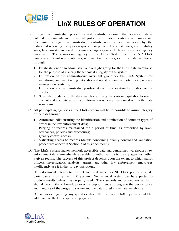

## **LInX RULES OF OPERATION**

- B. Stringent administrative procedures and controls to ensure that accurate data is entered in computerized criminal justice information systems are important. Combining stringent administrative controls with proper evaluation by the individual receiving the query response can prevent lost court cases, civil liability suits, false arrests, and civil or criminal charges against the law enforcement agency employee. The sponsoring agency of the LInX System, and the NC LInX Governance Board representatives, will maintain the integrity of the data warehouse through:
	- 1. Establishment of an administrative oversight group for the LInX data warehouse for the purpose of insuring the technical integrity of the system;
	- 2. Utilization of the administrative oversight group for the LInX System for monitoring and maintaining data edits and updates from the participating records management systems;
	- 3. Utilization of an administrative position at each user location for quality control checks;
	- 4. Scheduled updates of the data warehouse using the system capability to insure current and accurate up to date information is being maintained within the data warehouse.
- C. All participating agencies in the LInX System will be responsible to insure integrity of the data through:
	- 1. Automated edits insuring the identification and elimination of common types of errors in the law enforcement data;
	- 2. Purging of records maintained for a period of time, as prescribed by laws, ordinances, policies and procedures;
	- 3. Quality control checks;
	- 4. Validating access to records (details concerning quality control and validation procedures appear in Section 3 of this document.)
- D. The LInX System makes network accessible data and centralized warehoused law enforcement data immediately available to authorized participating agencies within a given region. The success of this project depends upon the extent to which patrol officers, investigators, analysts, agents, and other law enforcement employees intelligently use it in day-to-day operations.
- E. This document intends to instruct and is designed as NC LInX policy to guide participants in using the LInX System. No technical system can be expected to produce results unless it is properly used. The standards and procedures set forth should be strictly followed, as every exception tends to degrade the performance and integrity of the program, system and the data stored in the data warehouse.
- F. All inquiries regarding any specifics about the technical LInX System should be addressed to the LInX sponsoring agency.

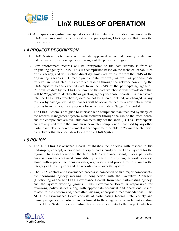

G. All inquiries regarding any specifics about the data or information contained in the LInX System should be addressed to the participating LInX agency that owns the information.

### *1.4 PROJECT DESCRIPTION*

. . . . . . .<br>.<br>. . :<br>:<br>:

- A. LInX System participants will include approved municipal, county, state, and federal law enforcement agencies throughout the prescribed region.
- B. Law enforcement records will be transported to the data warehouse from an originating agency's RMS. This is accomplished based on the technical capabilities of the agency, and will include direct dynamic data exposure from the RMS of the originating agencies. Direct dynamic data retrieval, as well as periodic data retrieval are conducted in a controlled fashion through the network connecting the LInX System to the exposed data from the RMS of the participating agencies. Retrieval of data by the LInX System into the data warehouse will provide data that will be "tagged" to identify the originating agency for those records. Once retrieved into the LInX data warehouse, data cannot be altered, deleted, or changed in any fashion by any agency. Any changes will be accomplished by a new data retrieval process from the originating agency for which the data is "tagged" or coded.

The LInX System is designed to interface with equipment manufactured by many of the records management system manufacturers through the use of the front porch, and the components are available commercially off the shelf (COTS). Participants are not required to use the same make computer equipment as that used by any other participant. The only requirement is that equipment be able to "communicate" with the network that has been developed for the LInX System.

### *1.5 POLICY*

- A. The NC LInX Governance Board, establishes the policies with respect to the philosophy, concept, operational principles and security of the LInX System for the region. In its deliberations, the NC LInX Governance Board, places particular emphasis on the continued compatibility of the LInX System; network security; along with a particular focus on rules, regulations, and procedures to maintain the integrity of LInX System and the records shared over the system.
- B. The LInX control and Governance process is composed of two major components, the sponsoring agency working in conjunction with the Executive Managers (functioning as the NC LInX Governance Board), from each participating agency, and the system working groups. The Governance Board is responsible for reviewing policy issues along with appropriate technical and operational issues related to the System and, thereafter, making appropriate recommendations. The NC LInX Governance Board consists of participating federal, state, county and municipal agency executives, and is limited to those agencies actively participating in the LInX System by contributing law enforcement data to the project, which is

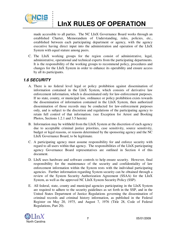

. . . . :<br>: . .<br>.<br>. . :<br>:<br>:

## **LInX RULES OF OPERATION**

made accessible to all parties. The NC LInX Governance Board works through an established Charter, Memorandum of Understanding, rules, policies, etc., established between each participating department or agency, with the agency executive having direct input into the administration and operation of the LInX System with equal stature among peers.

C. The LInX working groups for the region consist of administrative, legal, administrative, operational and technical experts from the participating departments. It is the responsibility of the working groups to recommend policy, procedures and changes for the LInX System in order to enhance its operability and ensure access by all its participants.

### *1.6 SECURITY*

- A. There is no federal level legal or policy prohibition against dissemination of information contained in the LInX System, which consists of derivative law enforcement information, which is disseminated only for law-enforcement purposes. If no state, county, or municipal law, ordinance or policy prohibition exists towards the dissemination of information contained in the LInX System, then authorized dissemination of those records may be conducted for law-enforcement purposes only, and is subject to the discretion and regulations of the participating agency to retain full control of that information. (see Exception for Arrest and Booking Photos, Sections 1.2.1 and 3.5 herein)
- B. Information may be withheld from the LInX System at the discretion of each agency due to acceptable criminal justice priorities, case sensitivity, source sensitivity, budget or legal reasons, or reasons determined by the sponsoring agency and the NC LInX Governance Board, to be legitimate.
- C. A participating agency must assume responsibility for and enforce security with regard to all users within that agency. The responsibilities of the LInX participating agency Governance Board representatives are outlined in Section 4 of this document.
- D. LInX uses hardware and software controls to help ensure security. However, final responsibility for the maintenance of the security and confidentiality of law enforcement information within the System rests with the individual participating agencies. Further information regarding System security can be obtained through a review of the System Security Authorization Agreement (SSAA) for the LInX System, as well as the approved NC LInX System Security Policy (SSP).
- E. All federal, state, county and municipal agencies participating in the LInX System are required to adhere to the security guidelines as set forth in the SSP, and in the United States Department of Justice Regulations governing the dissemination of criminal records and criminal history information, as published in the Federal Register on May 20, 1975, and August 7, 1976 (Title 28, Code of Federal Regulations, Part 20).

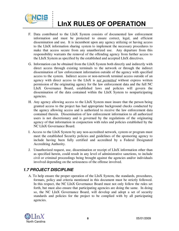

. . . . :<br>: . .<br>.<br>. . :<br>:<br>:

## **LInX RULES OF OPERATION**

- F. Data contributed to the LInX System consists of documented law enforcement information and must be protected to ensure correct, legal, and efficient dissemination and use. It is incumbent upon any agency utilizing or having access to the LInX information sharing system to implement the necessary procedures to make that access secure from any unauthorized use. Any departure from this responsibility warrants the removal of the offending agency from further access to the LInX System as specified by the established and accepted LInX directives.
- G. Information can be obtained from the LInX System both directly and indirectly with direct access through existing terminals to the network or through the indirect dissemination of law enforcement information outside of the agency with specified access to the system. Indirect access or non-network terminal access outside of an agency with direct access to the LInX is *not permitted* without express written permission of the originating agency for the law enforcement data and the full NC LInX Governance Board, established laws and policies will govern the dissemination of the data contained within the LInX System to nonparticipating agencies.
- H. Any agency allowing access to the LInX System must insure that the person being granted access to the project has had appropriate background checks conducted by the agency allowing access and is authorized to receive the law enforcement data contained therein. Dissemination of law enforcement information to all authorized users is not discretionary and is governed by the regulations of the originating agency of that information in conjunction with rules and policies established by the NC LInX Governance Board.
- I. Access to the LInX System by any non-accredited network, system or program must meet the established Security policies and guidelines of the sponsoring agency to include having been fully certified and accredited by a Federal Designated Accrediting Authority.
- J. Unauthorized request, use, dissemination or receipt of LInX information other than as specified herein, could result in any level of administrative sanctions, to include civil or criminal proceedings being brought against the agencies and/or individuals involved depending on the seriousness of the offense involved.

## *1.7 PROJECT DISCIPLINE*

A. To help ensure the proper operation of the LInX System, the standards, procedures, formats, policy and criteria mentioned in this document must be strictly followed. In this respect, the NC LInX Governance Board must not only follow the rules set forth, but must also ensure that participating agencies are doing the same. In doing so, the NC LInX Governance Board, will develop and adopt a set of security standards and policies for the project to be complied with by all participating agencies.

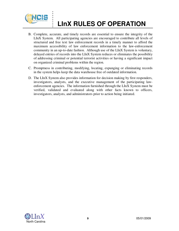

. . . . :<br>: . .<br>.<br>. . :<br>:<br>:

## **LInX RULES OF OPERATION**

- B. Complete, accurate, and timely records are essential to ensure the integrity of the LInX System. All participating agencies are encouraged to contribute all levels of structured and free text law enforcement records in a timely manner to afford the maximum accessibility of law enforcement information to the law-enforcement community in an up-to-date fashion. Although use of the LInX System is voluntary, delayed entries of records into the LInX System reduces or eliminates the possibility of addressing criminal or potential terrorist activities or having a significant impact on organized criminal problems within the region.
- C. Promptness in contributing, modifying, locating, expunging or eliminating records in the system helps keep the data warehouse free of outdated information.
- D. The LInX System also provides information for decision making by first responders, investigators, analysts, and the executive management of the participating lawenforcement agencies. The information furnished through the LInX System must be verified, validated and evaluated along with other facts known to officers, investigators, analysts, and administrators prior to action being initiated.

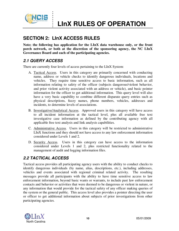

## **SECTION 2: LInX ACCESS RULES**

. . . . . . .<br>.<br>. . :<br>:<br>:

**Note; the following has application for the LInX data warehouse only, or the front porch network, or both at the discretion of the sponsoring agency, the NC LInX Governance Board and each of the participating agencies.** 

### *2.1 QUERY ACCESS*

There are currently four levels of access pertaining to the LInX System:

- A. Tactical Access. Users in this category are primarily concerned with conducting name, address or vehicle checks to identify dangerous individuals, locations and vehicles. They require time sensitive access to basic information, such as all information relating to safety of the officer (subjects dangerous/violent behavior, and prior violent activity associated with an address or vehicle), and basic pointer information for the officer to get additional information. This query level will also have a very basic capability to combine different disparate query entries such as physical descriptions, fuzzy names, phone numbers, vehicles, addresses and incidents, to determine levels of associations.
- B. Investigative/Analytical Access. Approved users in this category will have access to all incident information at the tactical level, plus all available free text investigative case information as defined by the contributing agency with all applicable free text analysis and link analysis capabilities.
- C. Administrative Access. Users in this category will be restricted to administrative LInX functions and they should not have access to any law enforcement information considered under Levels 1 and 2.
- D. Security Access. Users in this category can have access to the information considered under Levels 1 and 2, plus restricted functionality related to the management of audit and logging information files.

## *2.2 TACTICAL ACCESS*

Tactical access provides all participating agency users with the ability to conduct checks to identify dangerous individuals (by name, alias, descriptions, etc.), including addresses, vehicles and events associated with regional criminal related activity. The resulting messages provide all participants with the ability to have time sensitive access to law enforcement information, beyond basic wants or warrants, to include past law enforcement contacts and behavior or activities that were deemed to be dangerous or violent in nature, or any information that would provide for the tactical safety of any officer making queries of the system or the general public. This access level also provides a pointer directing the user or officer to get additional information about subjects of prior investigations from other participating agencies.

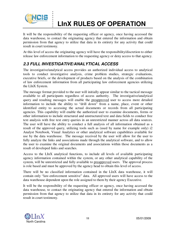

## **LInX RULES OF OPERATION**

It will be the responsibility of the requesting officer or agency, once having accessed the data warehouse, to contact the originating agency that entered the information and obtain permission from that agency to utilize that data in its entirety for any activity that could result in court testimony.

At this level of access the originating agency will have the responsibility/discretion to either release law enforcement information to the requesting agency or deny access to that agency.

## *2.3 FULL INVESTIGATIVE/ANALYTICAL ACCESS*

The investigative/analytical access provides an authorized individual access to analytical tools to conduct investigative analysis, crime problem studies, strategic evaluations, executive briefs, or the development of products based on the analysis of the combination of law enforcement information from all participating law enforcement agencies utilizing the LInX System.

The message format provided to the user will initially appear similar to the tactical message available to all participants regardless of access authority. The investigative/analytical query and resulting messages will enable the preapproved user to access more detailed information to include the ability to "drill down" from a name, place, event or other identified entity to accessing the actual documents or records from all participating agencies. This capability will enable the authorized user to examine documents, forms or other information to include structured and unstructured text and data fields to conduct free text analysis with free text entry queries in an unrestricted manner across all data sources. The user will have the ability to conduct a full analysis of all information obtained as a result of the approved query, utilizing tools such as (used by name for example only) i2 Analyst Notebook, Visual Analytics or other analytical software capabilities available for use by the data warehouse. The message received by the user will allow for the user to fully analyze the links and associations made through the analytical software, and to allow the user to examine the original documents and associations within those documents as a result of developed links and searches.

Access to the LInX analytical functions, to include all levels of available participating agency information contained within the system, or any other analytical capability of the system, will be unrestricted and fully available to preapproved users. The approval process is role based and must be approved by the agency head to obtain this level of access.

There will be no classified information contained in the LInX data warehouse, it will contain only "law-enforcement sensitive" data. All approved users will have access to the data warehouse dependent upon the role assigned to them by their agency Executive.

It will be the responsibility of the requesting officer or agency, once having accessed the data warehouse, to contact the originating agency that entered the information and obtain permission from that agency to utilize that data in its entirety for any activity that could result in court testimony.

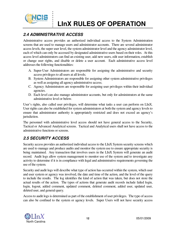

## *2.4 ADMINISTRATIVE ACCESS*

. . . . . . .<br>.<br>. . :<br>:<br>:

Administrative access provides an authorized individual access to the System Administration screens that are used to manage users and administrator accounts. There are several administrator access levels, the super user level, the system administrator level and the agency administrator level, each of which can only be accessed by designated administrative users based on their roles. At this access level administrators can find an existing user, add new users, edit user information, establish or change user rights, and disable or delete a user account. Each administrative access level addresses the following functionalities:

- A. Super-User Administrators are responsible for assigning the administrative and security access privileges to all users at all levels;
- B. System Administrators are responsible for assigning other system administrative privileges as well as assigning all agency administrative access;
- C. Agency Administrators are responsible for assigning user privileges within their individual agencies.
- D. Each level can also manage administrator accounts, but only for administrators at the same administrative level or below.

User's rights, also called user privileges, will determine what tasks a user can perform on LInX. User rights can also be established for system administrators at both the system and agency levels to ensure that administrator authority is appropriately restricted and does not exceed an agency's jurisdiction.

The personnel with administrative level access should not have general access to the Security, Tactical or Advanced Analytical screens. Tactical and Analytical users shall not have access to the administrative functions or screens.

## *2.5 SECURITY ACCESS*

Security access provides an authorized individual access to the LInX System security screens which are used to manage and produce audits and monitor the system use to ensure appropriate security is being maintained. Any transaction that involves users in the LInX System will generate an audit record. Audit logs allow system management to monitor use of the system and to investigate any activity to determine if it is in compliance with legal and administrative requirements governing the use of the system.

Security and audit logs will describe what type of action has occurred within the system, which user and user system or agency was involved, the date and time of the action, and the level of the query to include the results. The log identifies the kind of action that was taken, but does not store the actual results of the action. The types of actions that generate audit records include failed login, login, logout, added comment, updated comment, deleted comment, added user, updated user, deleted user, and general query.

Access to audit logs is determined as part of the establishment of user privileges. The type of access can also be confined to the system or agency levels. Super Users will not have security access

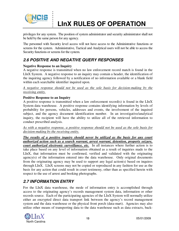

privileges for any system. The position of system administrator and security administrator shall not be held by the same person for any agency.

The personnel with Security level access will not have access to the Administrative functions or screens for the system. Administrative, Tactical and Analytical users will not be able to access the Security functions or screens for the system.

## *2.6 POSITIVE AND NEGATIVE QUERY RESPONSES*

#### **Negative Response to an Inquiry**

. . . . . . .<br>.<br>. . :<br>:<br>:

A negative response is transmitted when no law enforcement record match is found in the LInX System. A negative response to an inquiry may contain a header, the identification of the inquiring agency followed by a notification of no information available or a blank field within each searchable identifier inquired upon.

*A negative response should not be used as the sole basis for decision-making by the receiving entity.*

#### **Positive Response to an Inquiry**

A positive response is transmitted when a law enforcement record(s) is found in the LInX System data warehouse. A positive response contains identifying information by levels of probability for persons, vehicles, addresses and events, the involvement of the inquired subject, and the agency document identification number. In an investigative/analytical inquiry, the recipient will have the ability to utilize all of the retrieved information to conduct prescribed analysis.

*As with a negative response, a positive response should not be used as the sole basis for decision-making by the receiving entity.* 

*The results of a positive inquiry should never be utilized as the basis for any court authorized action such as a search warrant, arrest warrant, detention, property seizure, court authorized electronic surveillance, etc.* In all instances where further action is to take place based on any level of information obtained as a result of inquiries made to the LInX, that information must be confirmed, verified and validated with the originating agency(s) of the information entered into the data warehouse. Only original documents from the originating agency may be used to support any legal action(s) based on inquires through LInX. LInX screens may not be copied or reproduced in any fashion for use as the basis for any action that could result in court testimony, other than as specified herein with respect to the use of arrest and booking photographs.

## *2.7 INFORMATION ENTRY*

For the LInX data warehouse, the mode of information entry is accomplished through access to the originating agency's records management system data, information or other records source. Each of the participating agencies of the LInX System will normally utilize either an encrypted direct data transport link between the agency's record management system and the data warehouse or the physical front porch (data-mart). Agencies may also utilize other means of transporting data to the data warehouse such as data extracts, back-

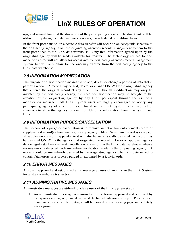

ups, and manual loads, at the discretion of the participating agency. The direct link will be utilized for updating the data warehouse on a regular scheduled or real-time basis.

In the front porch mode, an electronic data transfer will occur on an acceptable schedule to the originating agency, from the originating agency's records management system to the front porch then to the LInX data warehouse. Only that information agreed upon by the originating agency will be made available for transfer. The technology utilized for this mode of transfer will not allow for access into the originating agency's record management system, but will only allow for the one-way transfer from the originating agency to the LInX data warehouse.

### *2.8 INFORMATION MODIFICATION*

. . . . . . .<br>.<br>. . :<br>:<br>:

The purpose of a modification message is to add, delete, or change a portion of data that is part of a record. A record may be add, delete, or change **ONLY** by the originating agency that entered the original record at any time. Even though modification may only be initiated by the originating agency, the need for modification may be brought to the attention of the originating agency by any LInX participant through the use of a modification message. All LInX System users are highly encouraged to notify any participating agency of any information found in the LInX System to be incorrect or erroneous to allow that agency to correct or delete the information from their system and LInX.

## *2.9 INFORMATION PURGES/CANCELLATION*

The purpose of a purge or cancellation is to remove an entire law enforcement record or supplemental record(s) from any originating agency's files. When any record is canceled, all supplemental records appended to it will also be automatically canceled. A record may be canceled **ONLY** by the agency that originated the record. However, approved agency data integrity staff may request cancellation of a record in the LInX data warehouse when a serious error is detected with immediate notification made to the originating agency. A record should be immediately canceled by the originating agency when it is determined to contain fatal errors or is ordered purged or expunged by a judicial order.

## *2.10 ERROR MESSAGES*

A project approved and established error message advises of an error in the LInX System for all data warehouse transactions.

## *2.11 ADMINISTRATIVE MESSAGES*

Administrative messages are utilized to advise users of the LInX System status.

A. An administrative message is transmitted in the format approved and accepted by the sponsoring agency, or designated technical advisory group. Prescheduled maintenance or scheduled outages will be posted on the opening page immediately after sign-in.

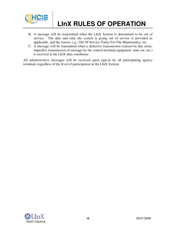

## **LInX RULES OF OPERATION**

- B. A message will be transmitted when the LInX System is determined to be out of service. The date and time the system is going out of service is provided as applicable, and the reason, e.g., Out Of Service Today For File Maintenance, etc.
- C. A message will be transmitted when a defective transmission (caused by line noise, imperfect transmission of message by the control terminal equipment, time out, etc.) is received at the LInX data warehouse.

All administrative messages will be received upon sign-in by all participating agency terminals regardless of the level of participation in the LInX System.

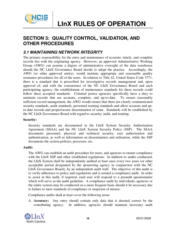

## **SECTION 3: QUALITY CONTROL, VALIDATION, AND OTHER PROCEDURES**

### *3.1 MAINTAINING NETWORK INTEGRITY*

The primary responsibility for the entry and maintenance of accurate, timely, and complete records lies with the originating agency. However, an approved Administrative Working Group (AWG) can assume a degree of administrative oversight of the data warehouse should the NC LInX Governance Board decide to adopt the practice. Accordingly, the AWG (or other approved entity), would institute appropriate and reasonable quality assurance procedures for all of the users. In relation to Title 42, United States Code 3771, there is a standard that is prescribed for investigative records management and, upon approval of, and with the concurrence of the NC LInX Governance Board and each participating agency; the establishment of maintenance standards for these records could follow these accepted standards. Criminal justice agencies specifically have a duty to maintain records that are accurate, complete, and up-to-date. To ensure reasonably sufficient record management, the AWG would ensure that there are clearly communicated security standards, audit standards, personnel training standards and allow accurate and upto-date records and proper/secure dissemination of same. Standards will be established by the NC LInX Governance Board with regard to security, audit, and training.

#### **Security:**

Security standards are documented in the LInX System Security Authorization Agreement (SSAA) and the NC LInX System Security Policy (SSP). The SSAA documents personnel, physical and technical security, user authorization and authentication, as well as information on dissemination and utilization, while the SSP documents the system policies, processes, etc.

#### **Audit:**

The AWG can establish an audit procedure for users, and agencies to ensure compliance with the LInX SSP and other established regulations. In addition to audits conducted, the LInX System shall be independently audited at least once every two years (or other acceptable period designated by the sponsoring agency in conjunction with the NC LInX Governance Board), by an independent audit staff. The objective of this audit is to verify adherence to policy and regulations and is termed a compliance audit. In order to assist in this audit, if required, each user will respond to a preaudit questionnaire which will serve as the audit guideline. A compliance audit by individuals, agencies or the entire system may be conducted on a more frequent basis should it be necessary due to failure to meet standards of compliance or suspicion of misuse.

Compliance audits shall at least cover the following areas:

A. **Accuracy:** Any entry should contain only data that is deemed correct by the contributing agency. In addition, agencies should maintain necessary audit

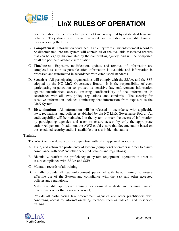

## **LInX RULES OF OPERATION**

documentation for the prescribed period of time as required by established laws and policies. They should also ensure that audit documentation is available from all users accessing the LInX.

- B. **Completeness:** Information contained in an entry from a law enforcement record to be disseminated into the system will contain all of the available associated records that can be legally disseminated by the contributing agency, and will be comprised of all the pertinent available information.
- C. **Timeliness:** Exposure, modification, update, and removal of information are completed as soon as possible after information is available and information is processed and transmitted in accordance with established standards.
- D. **Security:** All participating organizations will comply with the SSAA, and the SSP adopted by the NC LInX Governance Board. It is the responsibility of each participating organization to protect its sensitive law enforcement information against unauthorized access, ensuring confidentiality of the information in accordance with all laws, policy, regulations, and standards. The security for sensitive information includes eliminating that information from exposure to the LInX System.
- E. **Dissemination:** All information will be released in accordance with applicable laws, regulations, and policies established by the NC LInX Governance Board. An audit capability will be maintained in the system to track the access of information by participating agencies and users to ensure access by only the appropriate authorized person. In addition, the AWG could ensure that documentation based on the scheduled security audits is available to assist in biennial audits.

#### **Training:**

The AWG or their designees, in conjunction with other approved entities can:

- A. Train, and affirm the proficiency of system (equipment) operators in order to assure compliance with SSP and other accepted policies and regulations;
- B. Biennially, reaffirm the proficiency of system (equipment) operators in order to assure compliance with SSAA and SSP;
- C. Maintain records of all training;
- D. Initially provide all law enforcement personnel with basic training to ensure effective use of the System and compliance with the SSP and other accepted policies and regulations;
- E. Make available appropriate training for criminal analysts and criminal justice practitioners other than sworn personnel;
- F. Provide all participating law enforcement agencies and other practitioners with continuing access to information using methods such as roll call and in-service training;

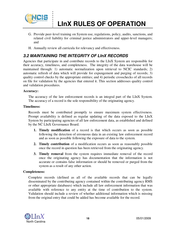

## **LInX RULES OF OPERATION**

- G. Provide peer-level training on System use, regulations, policy, audits, sanctions, and related civil liability for criminal justice administrators and upper-level managers; and
- H. Annually review all curricula for relevancy and effectiveness.

## *3.2 MAINTAINING THE INTEGRITY OF LInX RECORDS*

Agencies that participate in and contribute records to the LInX System are responsible for their accuracy, timeliness, and completeness. The integrity of the data warehouse will be maintained through: 1) automatic normalization upon retrieval to NCIC standards; 2) automatic refresh of data which will provide for expungement and purging of records; 3) quality control checks by the appropriate entities; and 4) periodic crosschecks of all records on file for validation by the agencies that entered it. This section addresses quality control and validation procedures.

#### **Accuracy:**

The accuracy of the law enforcement records is an integral part of the LInX System. The accuracy of a record is the sole responsibility of the originating agency.

#### **Timeliness:**

Records must be contributed promptly to ensure maximum system effectiveness. Prompt availability is defined as regular updating of the data exposed to the LInX System by participating agencies of all law enforcement data, as established and defined by the NC LInX Governance Board.

- **1. Timely modification** of a record is that which occurs as soon as possible following the detection of erroneous data in an existing law enforcement record and as soon as possible following the exposure of data to the system.
- **2. Timely contribution** of a modification occurs as soon as reasonably possible once the record in question has been retrieved from the originating agency.
- **3. Timely removal** from the system requires immediate removal of the record once the originating agency has documentation that the information is not accurate or contains false information or should be removed or purged from the system as a result of any other action.

#### **Completeness:**

Complete records (defined as all of the available records that can be legally disseminated by the contributing agency contained within the contributing agency RMS or other appropriate databases) which include all law enforcement information that was available with reference to any entity at the time of contribution to the system. Validation should include a review of whether additional information which is missing from the original entry that could be added has become available for the record.

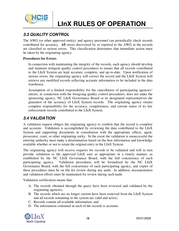

## *3.3 QUALITY CONTROL*

. . . . . . .<br>.<br>. . :<br>:<br>:

The AWG (or other approved entity), and agency personnel can periodically check records contributed for accuracy. *All* errors discovered by or reported to the AWG in the records are classified as serious errors. This classification determines that immediate action must be taken by the originating agency.

#### **Procedures for Errors**

In connection with maintaining the integrity of the records, each agency should develop and maintain stringent quality control procedures to ensure that all records contributed to the LInX System are kept accurate, complete, and up-to-date. Upon notification of serious errors, the originating agency will correct the record and the LInX System will retrieve any modified records reflecting accurate information to be included in the data warehouse.

Assumption of a limited responsibility for the cancellation of participating agencies' entries, in connection with the foregoing quality control procedures, does not make the sponsoring agency, NC LInX Governance Board or its designated representatives the guarantor of the accuracy of LInX System records. The originating agency retains complete responsibility for the accuracy, completeness, and current status of its law enforcement records contributed to the LInX System.

### *3.4 VALIDATION*

A validation request obliges the originating agency to confirm that the record is complete and accurate. Validation is accomplished by reviewing the data contributed to the LInX System and supporting documents in consultation with the appropriate officer, agent, prosecutor, court, or other originating entity. In the event the validation is unsuccessful the entering authority must make a determination based on the best information and knowledge available whether or not to retain the original entry in the LInX System.

The originating agency will receive requests for records to be validated and will in turn provide validation to the approved LInX user as appropriate in a timely manner, as established by the NC LInX Governance Board, with the full concurrence of each participating agency. Validation procedures will be formalized by the NC LInX Governance Board, with the full concurrence of each participating agency, and copies of these procedures must be on file for review during any audit. In addition, documentation and validation efforts must be maintained for review during such audit.

Validation certification means that:

- A. The records obtained through the query have been reviewed and validated by the originating agencies;
- B. The records which are no longer current have been removed from the LInX System and all records remaining in the system are valid and active;
- C. Records contain all available information; and
- D. The information contained in each of the records is accurate.

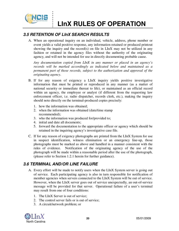

## **LInX RULES OF OPERATION**

### *3.5 RETENTION OF LInX SEARCH RESULTS*

A. When an operational inquiry on an individual, vehicle, address, phone number or event yields a valid positive response, any information retained or produced printout showing the inquiry and the record(s) on file in LInX may not be utilized in any fashion or retained in the agency files without the authority of the originating agency, and will not be intended for use in directly documenting probable cause.

*Any documentation copied from LInX in any manner or placed in an agency's records will be marked accordingly as indicated below and maintained as a permanent part of those records, subject to the authorization and approval of the originating agency.* 

- B. If for any reason of exigency a LInX inquiry yields positive investigative information that must be printed or reproduced in any manner (as a matter of national security or immediate thereat to life), or maintained as an official record within an agency, the employee or analyst (if different from the requesting law enforcement officer, i.e. radio dispatcher, records clerk, etc.), making the inquiry should note directly on the terminal-produced copies precisely:
	- 1. how the information was obtained;
	- 2. when the information was obtained (date/time stamp recommended);
	- 3. who the information was produced for/provided to;
	- 4. initial and date all documents;
	- 5. forward the documentation to the appropriate officer or agency which should be retained in the inquiring agency's investigative case file.
- C. If for any reason of exigency photographs are printed from the LInX System for use in suspect identification, witness elimination or an emergency line-up, those photographs must be marked as above and handled in a manner consistent with the rules of evidence. Notification of the originating agency of the use of the photograph will be made within a reasonable period after the use of the photograph, (please refer to Section 1.2.1 herein for further guidance).

### *3.6 TERMINAL AND/OR LINE FAILURE*

- A. Every effort will be made to notify users when the LInX System server is going out of service. Each participating agency is also in turn responsible for notification of member agencies when servers connected to the LInX System will be out of service. However, when the LInX server goes out of service unexpectedly, an out-of-service message will be provided for that server. Operational failure of a user's terminal may result from one of four conditions:
	- 1. The LInX Server is out of service;
	- 2. The control server fails or is out of service;
	- 3. A circuit/network problem; or

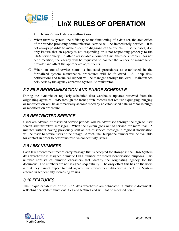

4. The user's work station malfunctions.

. . . . . . .<br>.<br>. . :<br>:<br>:

- B. When there is system line difficulty or malfunctioning of a data set, the area office of the vendor providing communication service will be immediately notified. It is not always possible to make a specific diagnosis of the trouble. In some cases, it is only known that an agency is not responding or is not responding properly to the LInX server query. If, after a reasonable amount of time, the user's problem has not been rectified, the agency will be requested to contact the vendor or maintenance provider and affect the appropriate adjustments.
- C. When an out-of-service status is indicated procedures as established in the formalized system maintenance procedures will be followed. All help desk notifications and technical support will be managed through the level 1 maintenance help desk by the agency approved System Administrator.

## *3.7 FILE REORGANIZATION AND PURGE SCHEDULE*

During the dynamic or regularly scheduled data warehouse updates retrieved from the originating agencies' RMS through the front porch, records that require expunging, purging or modification will be automatically accomplished by an established data warehouse purge or modification procedure.

## *3.8 RESTRICTED SERVICE*

Users are advised of restricted service periods will be advertised through the sign-on user screen administrative messages. When the system goes out of service for more than 15 minutes without having previously sent an out-of-service message, a regional notification will be made to advise users of the outage. A "hot-line" telephone number will be available for contact in order to determine/resolve connectivity issues.

### *3.9 LINX NUMBERS*

Each law enforcement record entry message that is accepted for storage in the LInX System data warehouse is assigned a unique LInX number for record identification purposes. The number consists of numeric characters that identify the originating agency for the document. The numbers are not assigned sequentially. The only effect this has on the users is that they cannot expect to find agency law enforcement data within the LInX System entered in sequentially increasing values.

## *3.10 FEATURES*

The unique capabilities of the LInX data warehouse are delineated in multiple documents reflecting the system functionalities and features and will not be repeated herein.

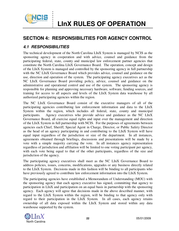

## **SECTION 4: RESPONSIBILITIES FOR AGENCY CONTROL**

### *4.1 RESPONSIBILITIES*

. . . . . . .<br>.<br>. . :<br>:<br>:

The technical development of the North Carolina LInX System is managed by NCIS as the sponsoring agency in cooperation and with advice, counsel and guidance from the participating federal, state, county and municipal law enforcement partner agencies that constitute the North Carolina LInX Governance Board. The operation, concept and design of the LInX System is managed and controlled by the sponsoring agency in full partnership with the NC LInX Governance Board which provides advice, counsel and guidance on the use, direction and operation of the system. The participating agency executives act as the NC LInX Governance Board providing policy, advice, counsel and guidance on the administrative and operational control and use of the system. The sponsoring agency is responsible for planning and approving necessary hardware, software, funding sources, and training for access to all aspects and levels of the LInX System data warehouse by all authorized participating agencies within the region.

The NC LInX Governance Board consist of the executive managers of all of the participating agencies contributing law enforcement information and data to the LInX System within the region, which includes all federal, state, county and municipal participants. Agency executives who provide advice and guidance as the NC LInX Governance Board, all exercise equal rights and input over the management and direction of the LInX System in full partnership with NCIS. For the purposes of agreements between agencies each Chief, Sheriff, Special Agent in Charge, Director, or Public Safety Director as the head of an agency participating in and contributing to the LInX System will have equal input regardless of the jurisdiction or size of the department. In all instances, agreements obtained through briefings, discussions and presentations will be made by a vote with a simple majority carrying the vote. In all instances agency representation regardless of jurisdiction and affiliation will be limited to one voting participant per agency, with each vote being equal to that of the other participants, regardless of the size and jurisdiction of the agency.

The participating agency executives shall meet as the NC LInX Governance Board to address policies, issues, concerns, modifications, upgrades or any business directly related to the LInX System. Decisions made in this fashion will be binding to all participants who have previously agreed to contribute law enforcement information into the LInX System.

The participating agencies have established a Memorandum of Understanding (MOU) with the sponsoring agency that each agency executive has signed, committing that agency to participation in LInX and participation on an equal basis in partnership with the sponsoring agency. Each agency will agree that decisions made in the above described manner, with regard to the LInX System within the region, will be binding to that agency only with regard to their participation in the LInX System. In all cases, each agency retains ownership of all data exposed within the LInX System and stored within any data warehouse supported by the system.

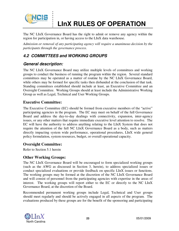

## **LInX RULES OF OPERATION**

The NC LInX Governance Board has the right to admit or remove any agency within the region for participation in, or having access to the LInX data warehouse.

*Admission or removal of any participating agency will require a unanimous decision by the participants through the governance process*.

## *4.2 COMMITTEES and WORKING GROUPS*

### *General description:*

The NC LInX Governance Board may utilize multiple levels of committees and working groups to conduct the business of running the program within the region. Several standard committees may be operated as a matter of routine by the NC LInX Governance Board, while others may be formed for specific tasks then disbanded at the conclusion of that task. Standing committees established should include at least, an Executive Committee and an Oversight Committee. Working Groups should at least include the Administrative Working Group as well as Legal, Technical and User Working Groups.

### **Executive Committee:**

The Executive Committee (EC) should be formed from executive members of the "active" participating agencies in the program. The EC may meet on behalf of the full Governance Board and address the day-to-day dealings with connectivity, expansion, inter-agency issues, or any other matters that require immediate executive level attention to resolve. The EC will have the authority to address anything relating to the LInX System that does not require the attention of the full NC LInX Governance Board as a body, such as matters directly impacting system wide performance, operational procedures, LInX wide general policy formulation, system resources, budget, or overall operational capacity.

### **Oversight Committee:**

Refer to Section 5.1 herein

### **Other Working Groups:**

The NC LInX Governance Board will be encouraged to form specialized working groups (such as the AWG as discussed in Section 3, herein), to address specialized issues or conduct specialized evaluations or provide feedback on specific LInX issues or functions. The working groups may be formed at the discretion of the NC LInX Governance Board and will consist of personnel from the participating agencies with expertise in the areas of interest. The working groups will report either to the EC or directly to the NC LInX Governance Board, at the discretion of the Board.

Recommended permanent working groups include Legal, Technical and User groups should meet regularly and should be actively engaged in all aspects of the program. The evaluations produced by these groups are for the benefit of the sponsoring and participating

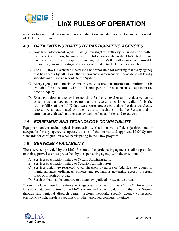

## **LInX RULES OF OPERATION**

agencies to assist in decisions and program direction, and shall not be disseminated outside of the LInX Program.

## *4.3 DATA ENTRY/UPDATES BY PARTICIPATING AGENCIES*

- A. Any law enforcement agency having investigative authority or jurisdiction within the respective region, having agreed to fully participate in the LInX System, and having agreed to the principles of, and signed the MOU, will as soon as reasonable or possible, ensure investigative data is contributed to the LInX data warehouse.
- B. The NC LInX Governance Board shall be responsible for assuring that every agency that has access by MOU or other interagency agreement will contribute all legally sharable investigative records to the System.
- C. Every agency that contributes records must assure that information confirmation is available for all records, within a 24 hour period (or next business day) from the time of inquiry.
- D. Every participating agency is responsible for the removal of an investigative record as soon as that agency is aware that the record is no longer valid. It is the responsibility of the LInX data warehouse process to update the data warehouse records by an automated or other retrieval mechanism via the System and in compliance with each partner agency technical capabilities and resources.

## *4.4 EQUIPMENT AND TECHNOLOGY COMPATIBILITY*

Equipment and/or technological incompatibility shall not be sufficient justification, or acceptable for any agency to operate outside of the normal and approved LInX System standards for configuration when participating in the LInX program.

## *4.5 SERVICES AVAILABILITY*

Those services provided by the LInX System to the participating agencies shall be provided to their approved users as prescribed by the sponsoring agency with the exception of:

- A. Services specifically limited to System Administrators;
- B. Services specifically limited to Security Administrators;
- C. Services which are restricted to certain users by nature of federal, state, county or municipal laws, ordinances, policies and regulations governing access to certain types of investigative data;
- D. Services that may be contrary to a state law, judicial or executive order.

"Users" include those law enforcement agencies approved by the NC LInX Governance Board, as data contributors to the LInX System, and accessing data from the LInX System through any regional dispatch center, regional network, specific agency connection, electronic switch, wireless capability, or other approved computer interface.

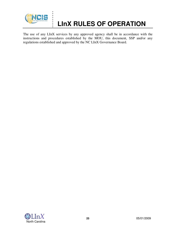

## **LInX RULES OF OPERATION**

The use of any LInX services by any approved agency shall be in accordance with the instructions and procedures established by the MOU, this document, SSP and/or any regulations established and approved by the NC LInX Governance Board.

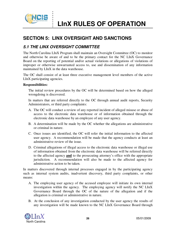

## **SECTION 5: LINX OVERSIGHT AND SANCTIONS**

### *5.1 THE LINX OVERSIGHT COMMITTEE*

. . . . . . .<br>.<br>. . :<br>:<br>:

The North Carolina LInX Program shall maintain an Oversight Committee (OC) to monitor and otherwise be aware of and to be the primary contact for the NC LInX Governance Board on the reporting of potential and/or actual violations or allegations of violations of improper or otherwise unwarranted access to, use and dissemination of any information maintained by LInX in the data warehouse.

The OC shall consist of at least three executive management level members of the active LInX participating agencies.

#### **Responsibilities:**

The initial review procedures by the OC will be determined based on how the alleged wrongdoing is discovered.

In matters that are referred directly to the OC through annual audit reports, Security Administrators, or third party complaints:

- A. The OC will conduct a review of any reported incident of alleged misuse or abuse of access to the electronic data warehouse or of information obtained through the electronic data warehouse by an employee of any user agency.
- B. A determination will be made by the OC whether the allegations are administrative or criminal in nature.
- C. Once issues are identified, the OC will refer the initial information to the affected user agency. A recommendation will be made that the agency conducts at least an administrative review of the issue.
- D. Criminal allegations of illegal access to the electronic data warehouse or illegal use of information obtained from the electronic data warehouse will be referred directly to the affected agency **and** to the prosecuting attorney's office with the appropriate jurisdiction. A recommendation will also be made to the affected agency for administrative action to be taken.

In matters discovered through internal processes engaged in by the participating agency such as internal system audits, inadvertent discovery, third party complaints, or other means:

- A. The employing user agency of the accused employee will initiate its own internal investigation within the agency. The employing agency will notify the NC LInX Governance Board through the OC of the nature of the allegation and if the allegation is criminal or administrative in nature.
- B. At the conclusion of any investigation conducted by the user agency the results of any investigation will be made known to the NC LInX Governance Board through

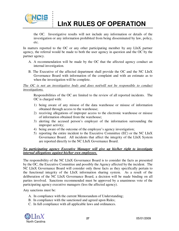

## **LInX RULES OF OPERATION**

the OC. Investigative results will not include any information or details of the investigation or any information prohibited from being disseminated by law, policy, etc.

In matters reported to the OC or any other participating member by any LInX partner agency, the referral would be made to both the user agency in question and the OC by the partner agency.

- A. A recommendation will be made by the OC that the affected agency conduct an internal investigation.
- B. The Executive of the affected department shall provide the OC and the NC LInX Governance Board with information of the complaint and with an estimate as to when the investigation will be complete.

*The OC is not an investigative body and does not/will not be responsible to conduct investigations.*

Responsibilities of the OC are limited to the review of all reported incidents. The OC is charged with:

- 1) being aware of any misuse of the data warehouse or misuse of information obtained through access to the warehouse;
- 2) receiving allegations of improper access to the electronic warehouse or misuse of information obtained from the warehouse;
- 3) alerting the accused person's employer of the information surrounding the improper activity;
- 4) being aware of the outcome of the employee's agency investigation;
- 5) reporting the entire incident to the Executive Committee (EC) or the NC LInX Governance Board. All incidents that affect the integrity of the LInX System are reported directly to the NC LInX Governance Board.

#### *No participating agency Executive Manager will give up his/her right to investigate internal allegations against his/her own employees.*

The responsibility of the NC LInX Governance Board is to consider the facts as presented by the OC, the Executive Committee and possibly the Agency affected by the incident. The NC LInX Governance Board will consider only those facts as they specifically pertain to the functional integrity of the LInX information sharing system. As a result of the deliberation of the NC LInX Governance Board, a decision will be made binding on all parties involved. Sanctions recommended must be approved by a unanimous vote of the participating agency executive managers (less the affected agency).

Any sanctions must be:

- A. In compliance with the current Memorandum of Understanding;
- B. In compliance with the sanctioned and agreed upon Rules;
- C. In full compliance with all applicable laws and ordinances.

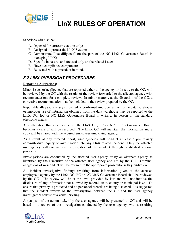

Sanctions will also be:

A. Imposed for corrective action only;

. . . . . . .<br>.<br>. . :<br>:<br>:

- B. Designed to protect the LInX System;
- C. Demonstrate "due diligence" on the part of the NC LInX Governance Board in managing LInX;
- D. Specific in nature, and focused only on the related issue;
- E. Have a compliance component;
- F. Be issued with a precedent in mind.

### *5.2 LINX OVERSIGHT PROCEDURES*

#### **Reporting Allegations:**

Minor issues of negligence that are reported either to the agency or directly to the OC, will be reviewed by the OC with the results of the review forwarded to the affected agency with recommendations for a complete review. In minor matters, at the discretion of the OC, a corrective recommendation may be included in the review prepared by the OC.

Reportable allegations – any suspected or confirmed improper access to the data warehouse or improper use of information obtained from the data warehouse may be reported to the LInX OC, EC or NC LInX Governance Board in writing, in person or via standard electronic means.

Any allegation that any member of the LInX OC, EC or NC LInX Governance Board becomes aware of will be recorded. The LInX OC will maintain the information and a copy will be shared with the accused employees employing agency.

As a result of any referred report, user agencies will conduct at least a preliminary administrative inquiry or investigation into any LInX related incident. Only the affected user agency will conduct the investigation of the incident through established internal processes.

Investigations are conducted by the affected user agency or by an alternate agency as identified by the Executive of the affected user agency and not by the OC. Criminal allegations of misconduct will be referred to the appropriate prosecutor with jurisdiction.

All incident investigative findings resulting from information given to the accused employee's agency by the LInX OC, EC or NC LInX Governance Board shall be reviewed by the OC. The review will be at the level provided by law and will not involve the disclosure of any information not allowed by federal, state, county or municipal laws. To ensure that privacy is protected and no personnel records are being disclosed, it is suggested that the incident review of the investigation between the OC and the user agency investigators consist of a verbal briefing.

A synopsis of the actions taken by the user agency will be presented to OC and will be based on a review of the investigation conducted by the user agency, with a resulting

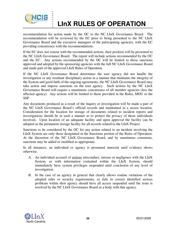

## **LInX RULES OF OPERATION**

recommendation for action made by the OC to the NC LInX Governance Board. The recommendation will be reviewed by the EC prior to being presented to the NC LInX Governance Board and the executive managers of the participating agencies, with the EC providing concurrence with the recommendations.

If the EC does not concur with the recommended actions, their position will be presented to the NC LInX Governance Board. The report will include actions recommended by the OC and the EC. Any actions recommended by the OC will be limited to those sanctions approved and adopted by the sponsoring agencies with the full NC LInX Governance Board and made part of the approved LInX Rules of Operation.

If the NC LInX Governance Board determines the user agency did not handle the investigation or any resultant disciplinary action in a manner that maintains the integrity of the System and good faith of the ongoing agreements, the NC LInX Governance Board may take action and impose sanctions on the user agency. Such actions by the NC LInX Governance Board will require a unanimous concurrence of all member agencies (less the affected agency). Any actions will be limited to those provided in the Rules, MOU or the SSP.

Any documents produced as a result of the inquiry or investigation will be made a part of the NC LInX Governance Board's official records and maintained in a secure location. Consideration for the location for storage of documents related to incident reports and investigations should be in such a manner as to protect the privacy of those individuals involved. Upon location of an adequate facility and upon approval the facility can be adopted as the permanent storage facility for all records related to the LInX Project.

Sanctions to be considered by the OC for any action related to an incident involving the LInX System are only those designated in the Sanctions portion of the Rules of Operation. At the discretion of the NC LInX Governance Board, and by unanimous consensus, sanctions may be added or modified as appropriate.

In all instances, an individual or agency is presumed innocent until evidence shows otherwise.

- A. An individual accused of serious misconduct, misuse or negligence with the LInX System, or with information contained within the LInX System, should immediately have system privileges suspended until conclusion of any level of investigation.
- B. In the case of an agency in general that clearly allows routine violations of the adopted rules or security requirements, or fails to correct identified serious problems within their agency should have all access suspended until the issue is resolved by the NC LInX Governance Board as a body with that agency.

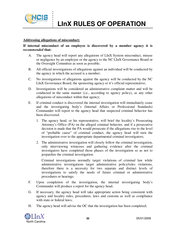

#### **Addressing allegations of misconduct:**

. . . . . . .<br>.<br>. . :<br>:<br>:

#### **If internal misconduct of an employee is discovered by a member agency it is**  *recommended* **that:**

- A. The agency head will report any allegations of LInX System misconduct, misuse or negligence by an employee or the agency to the NC LInX Governance Board or the Oversight Committee as soon as possible;
- B. All official investigations of allegations against an individual will be conducted by the agency in which the accused is a member;
- C. No investigations of allegations against the agency will be conducted by the NC LInX Governance Board, the sponsoring agency or it's official representative;
- D. Investigations will be considered an administrative complaint matter and will be conducted in the same manner (i.e., according to agency policy), as any other allegations of misconduct within that agency;
- E. If criminal conduct is discovered the internal investigation will immediately cease and the investigating body's (Internal Affairs or Professional Standards) Commander will report to the agency head that suspected criminal behavior has been discovered.
	- 1. The agency head, or his representative, will brief the locality's Prosecuting Attorney's Office (PA) on the alleged criminal behavior, and if a prosecutive decision is made that the PA would prosecute if the allegations rise to the level of "probable cause" of criminal conduct, the agency head will turn the investigation over to the appropriate departmental criminal investigators;
	- 2. The administrative investigation will closely follow the criminal investigation, only interviewing witnesses and gathering evidence after the criminal investigators have completed those phases of the investigation so as not to jeopardize the criminal investigation.

Criminal investigations normally target violations of criminal law while administrative investigations target administrative policy/rules violations, therefore there is a necessity for two separate and distinct levels of investigations to satisfy the needs of future criminal or administrative procedures or hearings.

- F. Upon completion of the investigation, the internal investigating body's Commander will produce a report for the agency head;
- G. If necessary, the agency head will take appropriate action being consistent with agency and locality rules, procedures, laws and customs as well as compliance with state or federal laws;
- H. The agency head will advise the OC that the investigation has been completed;

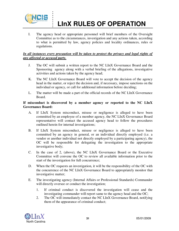

## **LInX RULES OF OPERATION**

I. The agency head or appropriate personnel will brief members of the Oversight Committee as to the circumstances, investigation and any actions taken, according to what is permitted by law, agency policies and locality ordinances, rules or regulations.

#### *In all instances every precaution will be taken to protect the privacy and legal rights of any affected or accused party.*

- J. The OC will submit a written report to the NC LInX Governance Board and the Sponsoring agency along with a verbal briefing of the allegations, investigative activities and actions taken by the agency head;
- K. The NC LInX Governance Board will vote to accept the decision of the agency head in the matter, or reject the decision and, if necessary, impose sanctions on the individual or agency, or call for additional information before deciding;
- L. The matter will be made a part of the official records of the NC LInX Governance Board.

#### **If misconduct is discovered by a member agency or reported to the NC LInX Governance Board:**

- A. If LInX System misconduct, misuse or negligence is alleged to have been committed by an employee of a member agency, the NC LInX Governance Board representative will contact the accused agency head to follow the procedures outlined herein for internal investigations;
- B. If LInX System misconduct, misuse or negligence is alleged to have been committed by an agency in general, or an individual directly employed (i.e. a vendor or another individual not directly employed by a participating agency), the OC will be responsible for delegating the investigation to the appropriate investigative body;
- C. In the case of 2, (above), the NC LInX Governance Board or the Executive Committee will convene the OC to review all available information prior to the start of the investigation for full concurrence;
- D. When the OC requests an investigation, it will be the responsibility of the OC with the concurrence of the NC LInX Governance Board to appropriately monitor that investigative matter;
- E. The investigating agency (Internal Affairs or Professional Standards) Commander will directly oversee or conduct the investigation;
	- 1. If criminal conduct is discovered the investigation will cease and the investigating commander will report same to the agency head and the OC;
	- 2. The OC will immediately contact the NC LInX Governance Board, notifying them of the appearance of criminal conduct;

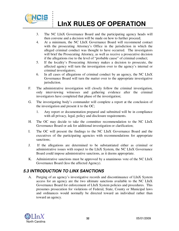

## **LInX RULES OF OPERATION**

- 3. The NC LInX Governance Board and the participating agency heads will then convene and a decision will be made on how to further proceed;
- 4. At a minimum, the NC LInX Governance Board will recommend contact with the prosecuting Attorney's Office in the jurisdiction in which the alleged criminal conduct was thought to have occurred. The investigators will brief the Prosecuting Attorney, as well as receive a prosecutive decision if the allegations rise to the level of "probable cause" of criminal conduct;
- 5. If the locality's Prosecuting Attorney makes a decision to prosecute, the affected agency will turn the investigation over to the agency's internal or criminal investigators;
- 6. In all cases of allegations of criminal conduct by an agency, the NC LInX Governance Board will turn the matter over to the appropriate investigative jurisdiction.
- F. The administrative investigation will closely follow the criminal investigation, only interviewing witnesses and gathering evidence after the criminal investigators have completed that phase of the investigation;
- G. The investigating body's commander will complete a report at the conclusion of the investigation and present it to the OC;
	- 1. Any report or documentation prepared and submitted will be in compliance with all privacy, legal, policy and disclosure requirements.
- H. The OC may decide to take the committee recommendation to the NC LInX Governance Board or ask for additional investigation or clarification;
- I. The OC will present the findings to the NC LInX Governance Board and the executives of the participating agencies with recommendations for appropriate sanctions;
- J. If the allegations are determined to be substantiated either as criminal or administrative issues with respect to the LInX System, the NC LInX Governance Board could impose administrative sanctions, as it deems appropriate.
- K. Administrative sanctions must be approved by a unanimous vote of the NC LInX Governance Board (less the affected Agency).

## *5.3 INTRODUCTION TO LINX SANCTIONS*

A. Purging of an agency's investigative records and discontinuance of LInX System access for an agency are the two ultimate sanctions available to the NC LInX Governance Board for enforcement of LInX System policies and procedures. This presumes prosecution for violations of Federal, State, County or Municipal laws and ordinances would normally be directed toward an individual rather than toward an agency.

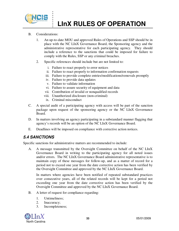

B. Considerations:

. . . . . . .<br>.<br>. . :<br>:<br>:

- 1. An up-to-date MOU and approved Rules of Operations and SSP should be in place with the NC LInX Governance Board, the Sponsoring agency and the administrative representative for each participating agency. They should include a reference to the sanctions that could be imposed for failure to comply with the Rules, SSP or any criminal breaches.
- 2. Specific references should include but are not limited to:
	- i. Failure to react properly to error notices
	- ii. Failure to react properly to information confirmation requests
	- iii. Failure to provide complete entries/modifications/removals promptly
	- iv. Failure to provide data updates
	- v. Failure to validate information
	- vi. Failure to assure security of equipment and data
	- vii. Contribution of invalid or nonqualified records
	- viii. Unauthorized disclosure (non-criminal)
	- ix. Criminal misconduct
- C. A special audit of a participating agency with access will be part of the sanction package upon request of the sponsoring agency or the NC LInX Governance Board.
- D. In matters involving an agency participating in a substandard manner flagging that agency's records will be an option of the NC LInX Governance Board.
- E. Deadlines will be imposed on compliance with corrective action notices.

### *5.4 SANCTIONS*

Specific sanctions for administrative matters are recommended to include:

A. A message transmitted by the Oversight Committee on behalf of the NC LInX Governance Board in writing to the participating agency for all noted issues and/or errors. The NC LInX Governance Board administrative representative is to maintain copy of these messages for follow-up, and as a matter of record for a period not to exceed one year from the date corrective action has been verified by the Oversight Committee and approved by the NC LInX Governance Board.

 In matters where agencies have been notified of repeated substandard practices over consecutive years, all of the related records will be kept for a period not exceeding one year from the date corrective action has been verified by the Oversight Committee and approved by the NC LInX Governance Board.

- B. A letter of request for compliance regarding:
	- 1. Untimeliness;
	- 2. Inaccuracy;
	- 3. Incompleteness;

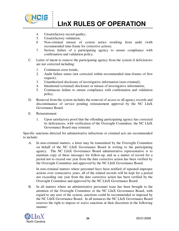

- 4. Unsatisfactory record quality;
- 5. Unsatisfactory validation;

. . . . . . .<br>.<br>. . :<br>:<br>:

- 6 Non-criminal misuse of system notice resulting from audit (with recommended time-frame for corrective action);
- 7. Serious failure of a participating agency to ensure compliance with confirmation and validation policy.
- C. Letter of intent to remove the participating agency from the system if deficiencies are not corrected including:
	- 1. Continuous error trends;
	- 2. Audit failure status (not corrected within recommended time-frames of first request);
	- 3. Unauthorized disclosure of investigative information (non-criminal);
	- 4. Intentional (criminal) disclosure or misuse of investigative information;
	- 5. Continuous failure to ensure compliance with confirmation and validation policy.
- D. Removal from the system includes the removal of access to all agency records and discontinuance of service pending reinstatement approval by the NC LInX Governance Board.
- E. Reinstatement:
	- 1. Upon satisfactory proof that the offending participating agency has corrected its deficiencies, with verification of the Oversight Committee, the NC LInX Governance Board may reinstate.

Specific sanctions directed for administrative infractions or criminal acts are recommended to include:

A. In non-criminal matters, a letter may be transmitted by the Oversight Committee on behalf of the NC LInX Governance Board in writing to the participating agency. The NC LInX Governance Board administrative representative is to maintain copy of these messages for follow-up, and as a matter of record for a period not to exceed one year from the date corrective action has been verified by the Oversight Committee and approved by the NC LInX Governance Board.

 In non-criminal matters where personnel have been notified of repeated improper actions over consecutive years, all of the related records will be kept for a period not exceeding one year from the date corrective action has been verified by the Oversight Committee and approved by the NC LInX Governance Board.

B. In all matters where an administrative personnel issue has been brought to the attention of the Oversight Committee or the NC LInX Governance Board, with regard to any user of the system, sanctions could be recommended or imposed by the NC LInX Governance Board. In all instances the NC LInX Governance Board reserves the right to impose or waive sanctions at their discretion in the following manner: